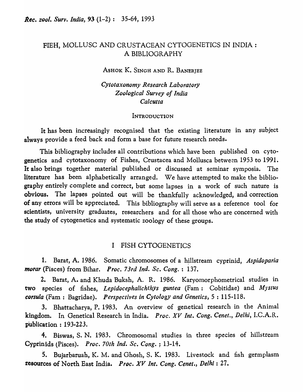## FIEH, MOLLUSC AND CRUSTACEAN CYTOGENETICS IN INDIA : A BIBLIOGRAPHY

ASHOK K. SINGH AND R. BANERJEE

*Cytotaxonomy Research Laboratory Zoological Survey of India Calcutta* 

#### INTRODUCTION

It has been increasingly recognised that the existing literature in any subject always provide a feed back and form a base for future research needs.

This bibliography includes all contributions which have been published on cytogenetics and cytotaxonomy of Fishes, Crustacea and Mollusca between 1953 to 1991. It also brings together material published or discussed at seminar symposia. The literature has been alphabetically arranged. We have attempted to make the bibliography entirely complete and correct, but some lapses in a work of such nature is obvious. The lapses pointed out will be thankfully acknowledged, and correction of any errors will be appreciated. This bibliography will serve as a reference tool for scientists, university graduates, researchers and for all those who are concerned with the study of cytogenetics and systematic zoology of these groups.

### I FISH CYTOGENETICS

1. Barat, A. 1986. Somatic chromosomes of a hillstream cyprinid, *Aspidoparia morar* (Pisces) from Bihar. *Proc. 73rd Ind. Sc. Cong.* : 137.

2. Barat, A. and Khuda Buksh, A. R. 1986. Karyomorphometrical studies in two species of fishes, *Lepidocephalichthys guntea* (Fam: Cobitidae) and *Mystus corsula* (Fam : Bagridae). *Perspectives in Cytology and Genetics*, 5:115-118.

3. Bhattacharya, P. 1983. An overview of genetical research in the Animal kingdom. In Genetical Research in India. *Proc. XV Int. Cong. Cenet., Delhi,* I.C.A.R. publication: 193-223.

4. Biswas, S. N. 1983. Chromosomal studies in three species of hillstream Cyprinids (Pisces). *Proc. 70th Ind. Sc. Cong.* ; 13-14.

5. Bujarbaruah, K. M. and Ghosh, S. K. 1983. Livestock and fish germplasm resources of North East India. *Proc. XV Int. Cong. Cenet., De/hi:* 27.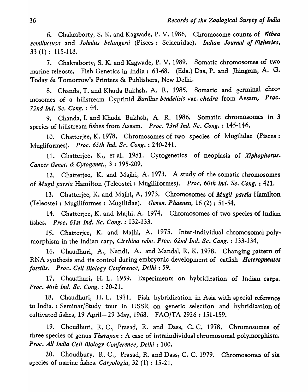6. Chakraborty, S. K. and Kagwade, P. V. 1986. Chromosome counts of *Nibea semiluctusa* and *Johnius belangerii* (Pisces: Sciaenidae). *Indian Journal of Fisheries,*  33 (1); 115-118.

7. Chakraborty, S. K. and Kagwade, P. V. 1989. Somatic chromosomes of two marine teleosts. Fish Genetics in India:  $63-68$ . (Eds.) Das, P. and Jhingran, A. G. Today & Tomorrow's Printers & Publishers, New Delhi.

8. Chanda, T. and Khuda Bukhsh, A. R. 1985. Somatic and germinal chromosomes of a hillstream Cyprinid *Bari/ius bendelisis* var. *ehedra* from Assam, *Proc. 72nd Ind. Se. Cong.* : 44.

9. Chanda, I. and Khuda Bukhsh, A. R. 1986. Somatic chromosomes in 3 species of hillstream fishes from Assam. *Proc. 73rd Ind. Sc. Cong.* : 145-146.

10. Chatterjee, K. 1978. Chromosomes of two species of Mugilidae (Pisces: Mugliformes). *Proc. 65th Ind. Sc. Cong.* : 240-241.

11. Chatterjee, K., et a1. 1981. Cytogenetics of neoplasia of *Xiphophorus. Cancer Genet.* & *Cytogenet.,* 3 : 195-209.

12. Chatterjee, K. and Majhi, A. 1973. A study of the somatic chromosomes of *Mugil parsia* Hamilton (Teleostei ; Mugiliformes). *Proc. 60th Ind. Sc. Cong.* : 421.

13. Chatterjee, K. and Majhi, A. 1973. Chromosomes of *Mugil parsia* Hamilton (Teleostei: Mugiliformes : Mugilidae). *Genen. Phaenen,* 16 (2) : 51-54.

14. Chatterjee, K. and Majhi, A. 1974. Chromosomes of two species of Indian fishes. *Proc.* 61 *st Ind. Se. Cong.* : 132-133.

15. Chatterjee, K. and Majhi, A. 1975. Inter-individual chromosomal polymorphism in the Indian carp, *Cirrhina reba. Proe. 62nd Ind. Se. Cong.* : 133-134.

16. Chaudhuri, A., Nandi, A. and MandaI, R. K. 1978. Changing pattern of RNA synthesis and its control during embryonic development of catfish *Heteropneutes Jossilis. Proc. Cell Biology Conference, Delhi: 59.* 

17. Chaudhuri, H. L. 1959. Experiments on hybridization of Indian carps. *Proc. 46th Ind. Se. Cong.* : 20-21.

18. Chaudhuri, H. L. 1971. Fish hybridization in Asia with special reference to India. : Seminar/Study tour in USSR on genetic selection and hybridization of cultivated fishes, 19 April- 29 May, 1968. FAO/TA 2926 : 151-159.

19. Choudhuri, R. C., Prasad, R. and Dass, C. C. 1978. Chromosomes of three species of genus *Therapon* : A case of intraindividual chromosomal polymorphism. *Proe. All India Cell Biology Conference, Delhi:* 100.

20. Choudhury, R. C., Prasad, R. and Dass, C. C. 1979. Chromosomes of six species of marine fishes. *Caryologia,* 32 (1) : 15-21.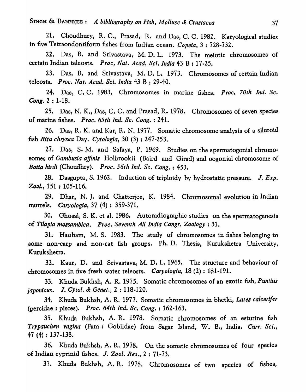21. Choudhury, R. C., Prasad, R. and Das, C. C. 1982. Karyological studies in five Tetraondontiform fishes from Indian ocean. *Copeia,* 3 : 728-732.

22. Das, B. and Srivastava, M. D. L. 1973. The meiotic chromosomes of certain Indian teleosts. *Proc, Nat. Acad. Sci. India* 43 B : 17-25.

23. Das, B. and Srivastava, M. D. L. 1973. Chromosomes of certain Indian teleosts. *Proc. Nat. Acad. Sci. India* 43 B : 29-40.

24. Das, C. C. 1983. Chromosomes in marine fishes. *Proe. 70th Ind. Se. Cong.* 2 : 1-18.

25. Das, N. K., Das, C. C. and Prasad, R. 1978. Chromosomes of seven species of marine fishes. *Proc. 65th Ind. Sc. Cong.* : 241.

26. Das, R. K. and Kar, R. N. 1977. Somatic chromosome analysis of a siluroid fish *Rita chrysea* Day. *Cytologia*, 30 (3): 247-253.

27. Das, S. M. and Safaya, P. 1969. Studies on the spermatogonial chromosomes of *Gambusia affinis* Holbrookii (Baird and Girad) and oogonial chromosome of *Botia birdi* (Choudhry). *Proc. 56th Ind. Sc. Cong.* : 453.

28. Dasgupta, S. 1962. Induction of triploidy by hydrostatic pressure. J. *Exp.*   $Zool., 151 : 105-116.$ 

29. Dhar, N. J. and Chatterjee, K. 1984. Chromosomal evolution in Indian murrels. *Caryologia,* 37 (4) : 359-371.

30. Ghosal, S. K. et al. 1986. Autoradiographic studies on the spermatogenesis of *Tilapia mossambica. Proc. Seventh All India Congr. Zoology: 31.* 

31. Haobam, M. S. 1983. The study of chromosomes in fishes belonging to some non-carp and non-cat fish groups. Ph. D. Thesis, Kurukshetra University, Kurukshetra.

32. Kaur, D. and Srivastava, M. D. L. 1965. The structure and behaviour of chromosomes in five fresh water teleosts. *Caryologia,* 18 (2) : 181-191.

33. Khuda Bukhsh, A. R. 1975. Somatic chromosomes of an exotic fish, *Puntius japonicus.* J. *Cytol.* & *Genet.,* 2 : 118-120.

34. Khuda Bukhsh, A. R. 1977. Somatic chromosomes in bhetki, *Lates calcerifer*  (percidae ; pisces). *Proc. 64th Ind. Sc. Cong.* : 162·163.

35. Khuda Bukhsh, A. R. 1978. Somatic chromosomes of an esturine fish *Trypauchen vagina* (Fam: Gobiidae) from Sagar Island, W. B., India. Curr. Sci., 47 (4) : 137-138.

36. Khuda Bukhsh, A. R. 1978. On the somatic chromosomes of four species of Indian cyprinid fishes. J. *Zool. Res.,* 2 : 71-73.

37. Khuda Bukhsh, A. R. 1978. Chromosomes of two species of fishes,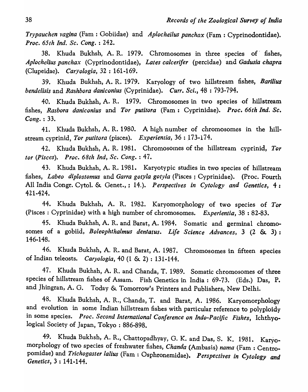*Trypauchen vagina* (Fam : Gobiidae) and *Aplocheilus panchax* (Fam : Cyprinodontidae). *Proc. 65th Ind. Sc. Cong.* : 242.

38. Khuda Bukhsh, A. R. 1979. Chromosomes in three species of fishes, *Aplochelius panchax* (Cyprinodontidae), *Lates calcerifer* (percidae) and *Gadusia chapra*  (Clupeidac). *CarY%gia,* 32 : 161-169.

39. Khuda Bukhsh, A. R. 1979. Karyology of two hillstream fishes, *Barilius bendelisis* and *Rashbora daniconius* (Cyprinidae). *Curr. Sci.,* 48 : 793-794.

40. Khuda Bukhsh, A. R. 1979. Chromosomes in two species of hillstream fishes, *Rasbora daniconius* and *Tor putitora* (Fam: Cyprinidae). *Proc. 66th Ind. Sc. Cong.* : 33.

41. Khuda Bukhsh, A. R. 1980. A high number of chromosomes in the hillstream cyprinid, Tor putitora (pisces). *Experientia*, 36:173-174.

42. Khuda Bukhsh, A. R. 1981. Chromosomes of the hillstream cyprinid, Tor *tor (Pisces). Proc. 68th Ind, Sc. Cong.* : 47.

43. Khuda Bukhsh, A. R. 1981. Karyotypic studies in two species of hillstream fishes, *Labeo diplostomus* and *Garra gotyla gotyla* (Pisces ; Cyprinidae). (Proc~ Fourth All India Congr. Cytol. & Genet., ; 14.). *Perspectives in Cytology and Genetics,* 4: 421-424.

44. Khuda Bukhsh, A. R. 1982. Karyomorphology of two species of *Tor*  (Pisces: Cyprinidae) with a high number of chromosomes. *Experientia,* 38 : 82-83.

45. Khuda Bukhsh, A. R. and Barat, A. 1984. Somatic and germinal chromosomes of a gobiid, *Boleophthalmus dentatus. Life Science Advances,* 3 (2 &. 3): 146-148.

46. Khuda Bukhsh, A. R. and Barat, A. 1987. Chromosomes in fifteen species of Indian teleosts. *Caryologia,* 40 (1 & 2) : 131-144.

47. Khuda Bukhsh, A. R. and Chanda, T. 1989. Somatic chromosomes of three species of hillstream fishes of Assam. Fish Genetics in India: 69-73. (Eds.) Das, P. and Jhingran, A. G. Today & Tomorrow's Printers and Publishers, New Delhi.

48. Khuda Bukhsh, A. R., Chanda, T. and Barat, A. 1986. Karyomorphology and evolution in some Indian hillstream fishes with particular reference to polyploidy in some species. *Proc. Second international Conference on Indo-Pacific Fishes,* Ichthyological Society of Japan, Tokyo: 886-898.

49. Khuda Bukhsh, A. R., Chattopadhyay, G. K. and Das, S. K. 1981. Karyomorphology of two species of freshwater fishes, *Chanda* (Ambasis) *nama* (Fam : Centropomidae) and *Trichogaster lalius* (Fam : Osphronemidae). *Perspectives in Cytology and Genetics,* 3 : 141-144.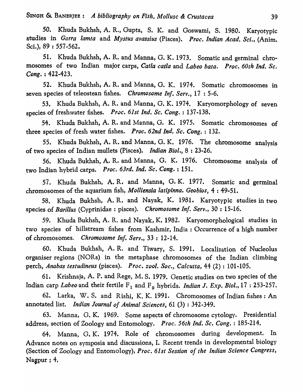50. Khuda Bukhsh, A. R., Gupta, S. K. and Goswami, S. 1980. Karyotypic &tudies in *Garra lamta* and *Mystus avassius* (Pisces). *Proc. Indian Acad. Sci.,* (Anim. Sci.), 89 : 557-562.

51. Khuda Bukhsh, A. R. and Manna, G. K. 1973. Somatic and germinal chromosomes of two Indian major carps, *Catla catla* and *Labeo bata. Proc. 60th Ind. Sc. Cong.* : 422-423.

52. Khuda Bukhsh, A. R. and Manna, G. K. 1974. Somatic chromosomes in seven species of teleostean fishes. *Chromosome Inf. Serv.,* 17 : 5-6.

53. Khuda Bukhsh, A. R. and Manna, G. K. 1974. Karyomorphologyof seven species of freshwater fishes. *Proc. 61st Ind. Sc. Cong.* : 137-138.

54. Khuda Bukhsh, A. R. and Manna, G. K. 1975. Somatic chromosomes of three species of fresh water fishes. *Proc. 62nd Ind. Sc. Cong.* : 132.

55. Khuda Bukhsh, A. R. and Manna, G. K. 1976. The chromosome analysis of two species of Indian mullets (Pisces). *Indian Bioi.,* 8 : 23-26.

56. Khuda Bukhsh, A. R. and Manna, G. K. 1976. Chromosome analysis of two Indian hybrid carps. *Proc. 63rd. Ind. SCI Cong.* : 151.

57. Khuda Bukhsh, A. R. and Manna, G. K. 1977. Somatic and germinal chromosomes of the aquarium fish, *Molliensia latipinna. Geobios,* 4 : 49-51.

58. Khuda Bukhsh, A. R. and Nayak, K. 1981. Karyotypic studies in two species of *Baril/us* (Cyprinidae: pisces). *Chromosome Inf. Serv.,* 30 : 15-16.

59. Khuda Bukhsh, A. R. and Nayak, K. 1982. Karyomorphological studies in two species of hillstream fishes from Kashmir, India: Occurrence of a high number of chromosomes. *Chromosome Inf. Serv.,* 33 : 12-14.

60. Khuda Bukhsh, A. R. and Tiwary, S. 1991. Localization of Nucleolus organiser regions (NORs) in the metaphase chromosomes of the Indian climbing perch, *Anabas testudineus* (pisces). *Proc. zool. Soc., Calcutta,* 44 (2) : 101-105.

61. Krishnaja, A. P. and Rege, M. S. 1979. Genetic studies on two species of the Indian carp *Labeo* and their fertile F<sub>1</sub> and F<sub>2</sub> hybrids. *Indian J. Exp. Biol.*, 17: 253-257.

62. Larka, W. S. and Rishi, K. K. 1991. Chromosomes of Indian fishes: An annotated list. *Indian Journal of Animal Sciences,* 61 (3) : 342-349.

63. Manna, G. K. 1969. Some aspects of chromosome cytology. Presidential address, section of Zoology and Entomology. *Proc. 56th Ind. Sc. Cong.* : 185-214.

64. Manna, G. K. 1974. Role of chromosomes during development. In Advance notes on symposia and discussions, I. Recent trends in developmental biology (Section of Zoology and Entomology), Proc. 61st Session of the Indian Science Congress, Nagpur  $: 4$ ,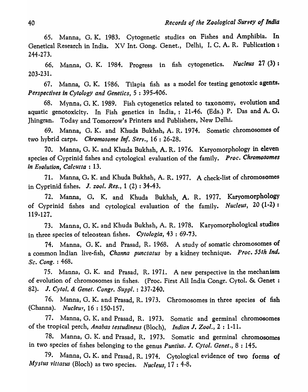65. Manna, G. K. 1983. Cytogenetic studies on Fishes and Amphibia. In Genetical Research in India. XV Int. Gong. Genet., Delhi, I. C. A. R. Publication: 244-273.

66. Manna, G. K. 1984. Progress in fish cytogenetics. *Nucleus* 27 (3) : 203-231.

67. Manna, G. K. 1986. Tilapia fish as a model for testing genotoxic agents. *Perspectives in Cytology and Genetics,* 5: 395-406.

68. Mynna, G. K. 1989. Fish cytogenetics related to taxonomy, evolution and aquatic genotoxicity. In Fish genetics in India, : 21-46. (Eds.) P. Das and A. G. Jhingran. Today and Tomorrow's Printers and Publishers, New Delhi.

69. Manna, G. K. and Khuda Bukhsh, A. R. 1974. Somatic chromosomes of two hybrid carps. *Chromosome Inf. Serv.,* 16 : 26-28.

70. Manna, G. K. and Khuda Bukhsh, A. R. 1976. Karyomorphology in eleven species of Cyprinid fishes and cytological evaluation of the family. *Proc. Chromosomes in Evolution, Calcutta* : 13.

71. Manna, G. K. and Khuda Bukhsh, A. R. 1977. A check-list of chromosomes in Cyprinid fishes. J. *zool. Res.,* 1 (2) : 34-43.

72. Manna, G. K. and Khuda Bukhsh, A. R. 1977. Karyomorphology of Cyprinid fishes and cytological evaluation of the family. *Nucleus,* 20 (1-2) : 119-127.

73. Manna, G. K. and Khuda Bukhsh, A. R. 1978. Karyomorphological studies in three species of teleostean fishes. *Cytologia*, 43:69-73.

74. Manna, G. K. and Prasad, R. 1968. A study of somatic chromosomes of a common Indian live-fish, *Channa punctatus* by a kidney technique. *Proc. 55th Ind. Sc. Cong.* : 468.

75. Manna, G. K. and Prasad, R. 1971. A new perspective in the mechanism of evolution of chromosomes in fishes. (Proc. First All India Congr. Cytol. & Genet: 82). J. Cytol. & Genet. Congr. Suppl.: 237-240.

76. Manna, G. K. and Prasad, R. 1973. Chromosomes in three species of fish (Channa). *Nucleus*, 16 : 150-157.

77. Manna, G. K. and Prasad, R. 1973. Somatic and germinal chromosomes of the tropical perch, *Anabas testudineus* (Bloch), *Indian* J. *Zool.,* 2 : 1-11.

78. Manna, G. K. and Prasad, R. 1973. Somatic and germinal chromosomes in two species of fishes belonging to the genus *Puntius.* J. *Cytol. Genet.,* 8 : 145.

79. Manna, G. K. and Prasad, R. 1974. Cytological evidence of two forms of *M)'stus vitlatus* (Bloch) as two species. *Nucleus,* 17 : 4-8.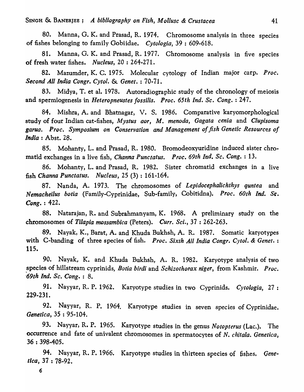80. Manna, G. K. and Prasad, R. 1974. Chromosome analysis in three species of fishes belonging to family Gobiidae. *Cytologia,* 39 : 609-618.

81. Manna, G. K. and Prasad, R. 1977. Chromosome analysis in five species of fresh water fishes. *Nucleus,* 20 : 264-271.

82. Mazumder, K. C. 1975. Molecular cytology of Indian major carp. *Proc. Second All India Congr. eytol.* & *Genet.* : 70-71.

83. Midya, T. et a1. 1978. Autoradiographic study of the chronology of meiosis and spermiogenesis in *Heteropneustes fossilis. Proc. 65th Ind. Sc. Cong.* : 247.

84. Mishra, A. and Bhatnagar, V. S. 1986. Comparative karyomorphological study of four Indian cat-fishes, M *ystus aor,* M. *menoda, Gagata cenia* and *Clupisoma garua. Proc. Symposium on Conservation and Management oj fish Genetic Resources oj India:* Abst. 28.

85. Mohanty, L. and Prasad, R. 1980. Bromodeoxyuridine induced sister chromatid exchanges in a live fish, *Channa Punctatus. Proc. 69th Ind. Se. Cong.* : 13.

86. Mohanty, L. and Prasad, R. 1982. Sister chromatid exchanges in a live fish *Channa Punctatus. Nucleus,* 25 (3) : 161-164.

87. Nanda, A. 1973. The chromosomes of *Lepidocephalichthys quntea* and *Nemacheilus botia* (Family-Cyprinidae, Sub-family, Cobitidna). *Proe. 60th Ind. Se. Cong.* : 422.

88. Natarajan, R. and Subrahmanyam, K. 1968. A preliminary study on the chromosomes of *Tilapia mossambiea* (Peters). *Curr. Sci.,* 37 : 262-263.

89. Nayak, K., Barat, A. and Khuda Bukhsh, A. R. 1987. Somatic karyotypes with C-banding of three species of fish. *Proe. Sixth All India Congr. Cytol.* & *Genet. :*  115.

90. Nayak, K. and Khuda Bukhsh, A. R. 1982. Karyotype analysis of two ,species of hillstream cyprinids, *Botia birdi* and *Schizothorax niger,* from Kashmir. *Proe. '69th Ind. Se. Cong.* : 8.

91. Nayyar, R. P. 1962. Karyotype studies in two Cyprinids. Cytologia, 27: 229-231.

92. Nayyar, R. P. 1964. Karyotype studies in seven species of Cyprinidae. *Genetica,* 35 : 95-104.

93. Nayyar, R. P. 1965. Karyotype studies in the genus *Notopterus* (Lac.). The occurrence and fate of univalent chromosomes in spermatocytes of *N. chitala. Genetica*, 36 : 398-405.

94. Nayyar, R. P. 1966. Karyotype studies in thirteen species of fishes. *Genetica,* 37 : 78·92.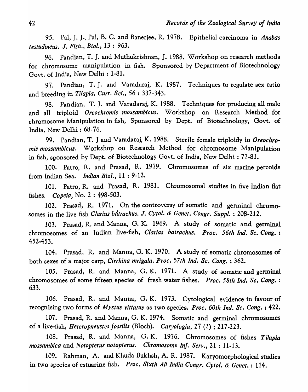95. Pal, J. J., Pal, B. C. and Banerjee, R. 1978. Epithelial carcinoma in *Anabas testudineus.* J. *Fish., Bioi.,* 13 : 963.

96. Pandian, T. J. and Muthukrishnan, J. 1988. Workshop on research methods for chromosome manipulation in fish. Sponsored by Department of Biotechnology Govt. of India, New Delhi: 1-81.

97. Pandian, T. J. and Varadaraj, K. 1987. Techniques to regulate sex ratio and breeding in *Tilapia. Curr. Sci.*, 56: 337-343.

98. Pandian, T. J. and Varadaraj, K. 1988. Techniques for producing all male and all triploid *Oreochromis mossambicus.* Workshop on Research Method for chromosome Manipulation in fish, Sponsored by Dept. of Biotechnology, Govt. of India, *New* Delhi: 68-76.

99. Pandian, T. J and Varadaraj, K. 1988. Sterile female triploidy in *Oreochromis mossambicus.* Workshop on Research Method for chromosome Manipulation in fish, sponsored by Dept. of Biotechnology Govt. of India, New Delhi: 77-81.

100. Patro, R. and Prasad, R. 1979. Chromosomes of six marine percoids from Indian Sea. *Indian Bioi.,* 11 : 9-12.

101. Patro, R. and Prasad, R. 1981. Chromosomal studies in five Indian flat fishes. *Copeia,* No.2: 498-503.

102. Prasad, R. 1971. On the controversy of somatic and germinal chromosomes in the live fish *Clarius b&trachus.* J. *Cytol.* & *Genet. Congr. Suppl.* : 208-212.

103. Prasad, R. and Manna, O. K. 1969. A study of somatic and germinal chromosomes of an Indian live-fish, *Clarias batrachus. Proc. 56th Ind. Sc. Cong.*: 452-453.

104. Prasad, R. and Manna, G. K. 1970. A study of somatic chromosomes of both sexes of a major carp, *Cirrhina mrigala. Proc. 57th Ind. Sc. Cong.* : 362.

105. Prasad, R. and Manna, G. K. 1971. A study of somatic and germinal chromosomes of some fifteen species of fresh water fishes. *Proc. 58th Ind. Se. Cong. :*  633.

106. Prasad, R. and Manna, G. K. 1973. Cytological evidence in favour of recognising two forms of *Mystus vittatus* as two species. *Proc. 60th Ind. Sc. Cong.* : 422.

107. Prasad, R. and Manna, G. K. 1974. Somatic and germinal chromosomes of a live-fish, *Heteropneustes fossilis* (Bloch). *Caryologia,* 27 (2) ; 217-223.

108. Prasad, R. and Manna, G. K. 1976. Chromosomes of fishes *Tilapia" mossambica* and *Notopterus notopterus. Chromosome Inf. Serv.,* 21 : 11-13.

109. Rahman, A. and Khuda Bukhsh, A. R. 1987. Karyomorphological studies in two species of estuarine fish. *Proc. Sixth All India Congr. Cytol.* & *Genet.* : 114.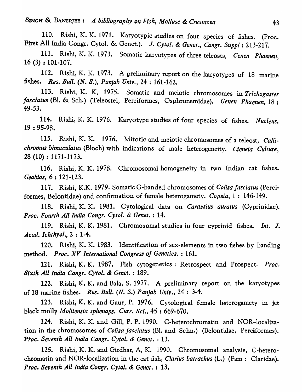SINGH &. BANERJEE: *A bihliography on Fish, Mollusc* & *Crustacea* 43

110. Rishi, K. K. 1971. Karyotypic studies on four species of fishes. (Proc. First All India Congr. Cytol. & Genet.). J. Cytol. & Genet., Congr. Suppl; 213-217.

111. Rishi, K. K. 1973. Somatic karyotypes of three teleosts. *Cenen Phaenen,*  16 (3) : 101-107.

112. Rishi, K. K. 1973. A preliminary report on the karyotypes of 18 marine fishes. *Res. Bull.* (N. *S.), Panjab Univ.,* 24 : 161-162.

113. Rishi, K. K. 1975. Somatic and meiotic chromosomes in *Trichogaster fasciatus* (Bl. & Sch.) (Teleostei, Perciformes, Osphronemidae). *Genen Phaenen,* 18 : 49-53.

114. Rishi, K. K. 1976. Karyotype studies of four species of fishes. *Nucleus,*  19 : 95-98.

115. Rishi, K. K. 1976. Mitotic and meiotic chromosomes of a teleost, *Callichromus bimaculatus* (Bloch) with indications of male heterogeneity. *Cieneia Culture,*  28 (10) : 1171-1173.

116. Rishi, K. K. 1978. Chromosomal homogeneity in two Indian cat fishes. *Geobios,* 6 : 121-123.

117. Rishi, K.K. 1979. Somatic G-banded chromosomes of *Colisa fasciatus* (Perciformes, Belontidae) and confirmation of female heterogamety. *Copeia,* 1 : 146-149.

118. Rishi, K. K. 1981. Cytological data on *Carassius auratus* (Cyprinidae). *Proc. Fourth All India Congr. Cytol.* & *Genet.* : 14.

119. Rishi, K. K. 1981. Chromosomal studies in four cyprinid fishes. *Int.* J. *Acad. lchthyol.,* 2 : 1-4.

120. Rishi, K. K. 1983. Identification of sex-elements in two fishes by banding method. *Proc.* XV *International Congress of Genetics.* : 161.

121. Rishi, K. K. 1987. Fish cytogenetics: Retrospect and Prospect. *Proc. Sixth All India Congr. Cytol.* & *Genet.* : 189.

122. Rishi, K. K. and Bala, S. 1977. A preliminary report on the karyotypes of 18 marine fishes. *Res. Bull. (N. S.) Panjab Univ.,* 24: 3-4.

123. Rishi, K. K. and Gaur, P. 1976. Cytological female heterogamety in jet black molly *Molliensia sphenops. Curr. Sci.,* 45 : 669-670.

124. Rishi, K. K. and Gill, P. P. 1990. C-heterochromatin and NOR-localization in the chromosomes of *Colisa fasciatus* (BI. and Schn.) (Belontidae, Perciformes). *Ptoc. Seventh All India Congr. Cytol.* & *Genet.* : 13.

125. Rishi, K. K. and Girdhar, A, K. 1990. Chromosomal analysis, C-heterochromatin and NOR-localization in the cat fish, *Clarius batrachus* (L.) (Fam: Claridae). *Proc. Seventh All India Congr. Cytol.* & *Genet.* : 13.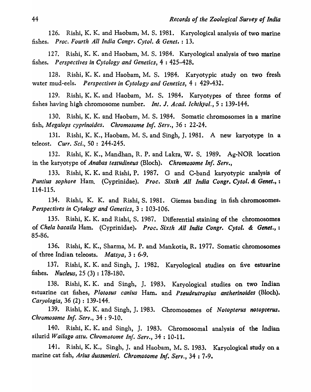126. Rishi, K. K. and Haobam, M. S. 1981. Karyologieal analysis of two marine fishes. *Proc. Fourth All India Congr. Cytol.* & *Genet.* : 13.

127. Rishi, K. K. and Haobam, M. S. 1984. Karyological analysis of two marine fishes. *Perspectives in Cytology and Genetics,* 4 : 425-428.

128. Rishi, K. K. and Haobam, M. S. 1984. Karyotypic study on two fresh water mud-eels. *Perspectives in Cytology and Genetics,* 4 : 429-432.

129. Rishi, K. K. and Haobam, M. S. 1984. Karyotypes of three forms of fishes having high chromosome number. *Int.* J. *Acad. Ichthyol.,* 5 : 139-144.

130. Rishi, K. K. and Haobam, M. S. 1984. Somatic chromosomes in a marine fish, *Megalops cyprinoides. Chromosome Inf. Serv.,* 36 : 22-24.

131. Rishi, K. K., Haobam, M. S. and Singh, J. 1981. A new karyotype in a teleost. *Curr. Sci.,* 50 : 244-245.

132. Rishi, K. K., Mandhan, R. P. and Lakra, W. S. 1989. Ag-NOR location in the karyotype of *Anabas testudineus* (Bloch). *Chromosome Inf. Serv.,* 

133. Rishi, K. K. and Rishi, P. 1987. G and C-band karyotypic analysis of *Puntius sophore* Ham. (Cyprinidae). *Proc. Sixth All India Congr. Cytol.* & *Genet., :*  114-115.

134. Rishi, K. K. and Rishi, S. 1981. Giemsa banding in fish chromosomes. *Perspectives in Cytology and Genetics,* 3 : 103-106.

135. Rishi, K. K. and Rishi, S. 1987. Differential staining of the chromosomes of *Chela bacai/a* Ham. (Cyprinidae). *Proc. Sixth All India Congr. Cytol.* & *Genet.,:*  85-86.

136. Rishi, K. K., Sharma, M. P. and Mankotia, R. 1977. Somatic chromosomes of three Indian teleosts. *Matsya,* 3 : 6-9.

137. Rishi, K. K. and Singh, J. 1982. Karyological studies on five estuarine fishes. *Nucleus,* 25 (3) : 178-180.

138. Rishi, K. K. and Singh, J. 1983. Karyological studies on two Indian estuarine cat fishes, *Plotosus canius* Ham. and *Pseudeutropius antherinoides* (Bloch). *Caryo!ogia,* 36 (2) : 139-144.

139. Rishi, K. K. and Singh, J. 1983. Chromosomes of *Notopterus notopterus. Chromosome Inf. Serv.,* 34 : 9-10.

140. Rishi, K. K. and Singh, J. 1983. Chromosomal analysis of the Indian silurid *Wallago attu. Chromosome Inf. Serv.,* 34 : 10-11.

141. Rishi, K. K., Singh, J. and Haobam, M. S. 1983. Karyological study on a marine cat fish, Arius dussumieri. Chromosome Inf. Serv., 34: 7-9.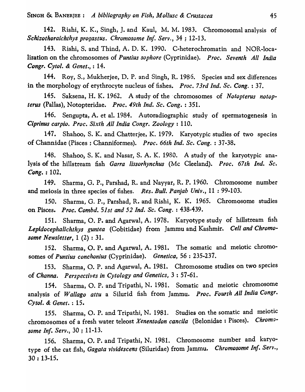142. Rishi, K. K., Singh, J. and Kaul, M. M. 1983. Chromosomal analysis of *Schizothoraichthys progastus. Chromosome In}: Serv.,* 34 ; 12-13.

143. Rishi, S. and Thind, A. D. K. 1990. C-heterochromatin and NOR-localization on the chromosomes of *Puntius sophore* (Cyprinidae). *Proc. Seventh All India Congr. Cytol.* & *Genet.,* : 14.

144. Roy, S., Mukherjee, D. P. and Singh, R. 1986. Species and sex differences in the morphology of erythrocyte nucleus of fishes. *Proc. 73rd Ind. Sc. Cong.* : 37.

145. Saksena, H. K. 1962. A study of the 'chromosomes of *Notopterus notopterus* (Pallas), Notopteridae. *Proc. 49th Ind. Sc. Cong.* : 351.

146. Sengupta, A. et al. 1984. Autoradiographic study of spermatogenesis in *Ciprinus carpio. Proc. Sixth All India Congr. Zoology: 110.* 

147. Shahoo, S. K. and Chatterjee, K. 1979. Karyotypic studies of two species of Channidae (Pisces: Channiformes). *Proc. 66th Ind. Sc. Cong.*: 37-38.

148. Shahoo, S. K. and Nasar, S. A. K. 1980. A study of the karyotypic analysis of the hillstream fish *Garra lissorhynchus* (Mc Cleeland). *Proc. 67th Ind. Sc. Cong.* : 102.

149. Sharma, G. P., Parshad, R. and Nayyar, R. P. 1960. Chromosome number and meiosis in three species of fishes. *Res. Bull. Panjab Univ.,* 11 : 99-103.

150. Sharma, G. P., Parshad, R. and Rishi, K. K. 1965. Chromosome studies on Pisces. *Proc. Combd.* 51st and 52 Ind. Sc. Cong. : 438-439.

151. Sharma, O. P. and Agarwal, A. 1978. Karyotype study of hillstream fish *Lepidocephalichthys guntea* (Cobitidae) from Jammu and Kashmir. *Cell and Chromosome Newsletter,* 1 (2) : 31.

152. Sharma, O. P. and Agarwal, A. 1981. The somatic and meiotic chromosomes of *Puntius eonchonius* (Cyprinidae). *Genetica,* 56 : 235-237.

153. Sharma, O. P. and Agarwal, A. 1981. Chromosome studies on two species of *Channa. Perspectives in Cytology and Genetics,* 3 : 57-61.

154. Sharma, O. P. and Tripathi, N. 1981. Somatic and meiotic chromosome analysis of *Wallago attu* a Silurid fish from Jammu. *Proc. Fourth All India Congr. Cytol.* & *Genet.* : 15.

155. Sharma, O. P. and Tripathi, N. 1981. Studies on the somatic and meiotic chromosomes of a fresh water teleost *Xenentodon cancila* (Belonidae: Pisces). *Chromosome Inf. Serv.,* 30 ; 11-13.

156. Sharma, O. P. and Tripathi, N. 1981. Chromosome number and karyotype of the cat fish, *Gagala vividescens* (Siluridae) from Jammu. *Chromosome Inf. Serv.,*  30 : 13-15.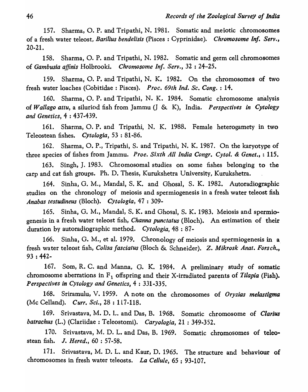157. Sharma, O. P. and Tripathi, N. 1981. Somatic and meiotic chromosomes of a fresh water teleost, *Barilius bendelisis* (Pisces: Cyprinidae). *Chromosome Inf. Serv.,*  20-21.

158. Sharma, O. P. and Tripathi, N. 1982. Somatic and germ cell chromosomes of *Gambusia affinis* Holbrooki. *Chromosome Inf. Serv.,* 32 : 24-25.

159. Sharma, o. P. and Tripathi, N. K. 1982. On the chromosomes of two fresh water loaches (Cobitidae : Pisces). *Proc. 69th Ind. Sc. Cong.* : 14.

160. Sharma, O. P. and Tripathi, N. K. 1984. Somatic chromosome analysis of *Wallago attu,* a siluriod fish from Jamnlu (J & K), India. *Perspectives in Cytology and Genetics,* 4 : 437-439.

161. Sharma, O. P. and Tripathi, N. K. 1988. Female heterogamety in two Teleostean fishes. *Cytologia,* 53 : 81-86.

162. Sharma, O. P., Tripathi, S. and Tripathi, N. K. 1987. On the karyotype of three species of fishes from Jammu. *Proe. Sixth All India Congr. Cytol.* & *Genet.,* : 115.

163. Singh, J. 1983. Chromosomal studies on some fishes belonging to the carp and cat fish groups. Ph. D. Thesis, Kurukshetra University, Kurukshetra.

164. Sinha, G. M., MandaI, S. K. and Ghosa!, S. K. 1982. Autoradiographic studies on the chronology of meiosis and spermiogenesis in a fresh water teleost fish *Anabas testudineus* (Bloch). *Cytologia,* 47 : 309-

165. Sinha, O. M., MandaI, S. K. and Ghosal, S. K. 1983. Meiosis and spermiogenesis in a fresh water teleost fish, *Channa punctatus* (Bloch). An estimation of their duration by autoradiographic method. *Cytologia*, 48:87-

166. Sinha, G. M., et al. 1979. Chronology of meiosis and spermiogenesis in a, fresh wa ter teleost fish, *Colisa fasciatus* (Bloch & Schneider). Z. *Mikrosk Anat. Forsch.,*  93 : 442-

167. Som, R. C. and Manna, G. K. 1984. A preliminary study of somatic chromosome aberrations in  $F_1$  offspring and their X-irradiated parents of *Tilapia* (Fish). *Perspectives in Cytology and Genetics,* 4 : 331-335.

168. Sriramulu, V. 1959. A note on the chromosomes of *Oryzias melastigma*  (Me Celland). *Curr. Sci.,* 28 : 117-118.

169. Srivastava, M. D. L. and Das, B. 1968. Somatic chromosome of *Clarius batrachus* (L.) (Clariidae : Teleostomi). *Caryologia,* 21 : 349-352.

170. Srivastava, M. D. L. and Das, B. 1969. Somatic chromosomes of teleostean fish. J. *Hered.,* 60 : 57-58.

171. Srivastava, M. D. L. and Kaur, D. 1965. The structure and behaviour of chromosomes in fresh water teleosts. *La Cellule*, 65 : 93-107.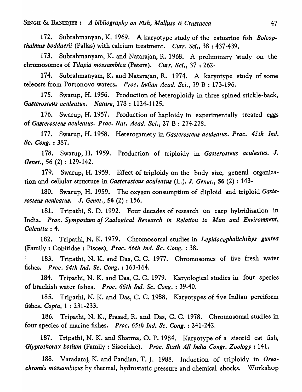172. Subrahmanyan, K. 1969. A karyotype study of the estuarine fish *Boleopthalmus boddaerii* (Pallas) with calcium treatment. *Curr. Sci.*, 38: 437-439.

173. Subrahmanyam, K. and Natarajan, R. 1968. A preliminary ·study on the chromosomes of *Tilapia mossambiea* (Peters). *Curr. Sci.,* 37 : 262-

174. Subrahmanyam, K. and Natarajan, R. 1974. A karyotype study of some teleosts from Portonovo waters. *Proc. Indian Acad. Sci.,* 79 B : 173-196.

175. Swarup, H. 1956. Production of heteroploidy in three spined stickle-back, *Gasterosteus aeuleatus. Nature,* 178 : 1124-1125.

176. Swarup, H. 1957. Production of haploidy in experimentally treated eggs of *Gasterosteus aeuleatus. Proe. Nat. Acad. Sci.,* 27 B : 274-278.

177. Swarup, H. 1958. Heterogamety in *Gasterosteus aculeatus. Proc. 45th Ind. Se. Cong.* : 387.

178. Swarup, H. 1959. Production of triploidy in *Gasterosteus aeuleatus.* J. *Genet.,* 56 (2) : 129-142.

179. Swarup, H. 1959. Effect of triploidy on the body size, general organization and cellular structure in *Gasterosteus aculeatus* (L.). J. *Genet.,* 56 (2) : 143-

180. Swarup, H. 1959. The oxygen consumption of diploid and triploid *Gasterosteus aculeatus.* J. *Genet.,* 56 (2) : 156.

181. Tripathi, S. D. 1992. Four decades of research on carp hybridization in India. *Proc. Symposium of Zoological Research in Relation to Man and Environment*, *Calcutta: 4.* 

182. Tripathi, N. K. 1979. Chromosomal studies in *Lepidocephalichthys guntea* (Family: Cobitidae: Pisces). *Proc. 66th Ind. Sc. Cong.*: 38.

183. Tripathi, N. K. and Das, C. C. 1977. Chromosomes of five fresh water fishes. *Proc. 64th Ind. Sc. Cong.* : 163-164.

184. Tripathi, N. K. and Das, C. C. 1979. Karyological studies in four species of brackish water fishes. *Proc. 66th Ind. Se. Cong.* : 39-40.

185. Tripathi, N. K. and Das, C. C. 1988. Karyotypes of five Indian perciform fishes. *Copia,* 1 : 231-233.

186. Tripathi, N. K., Prasad, R. and Das, C. C. 1978. Chromosomal studies in four species of marine fishes. *Proc. 65th Ind. Sc. Cong.*: 241-242.

187. Tripathi, N. K. and Sharma, O. P. 1984. Karyotype of a sisorid cat fish, *Glyptothorax botium* (Family: Sisoridae). *Proc. Sixth All India Congr. Zoology:* 141.

188. Varadaraj, K. and Pandian, T. J. 1988. Induction of triploidy in *Oreochromis mossambicus* by thermal, hydrostatic pressure and chemical shocks. Workshop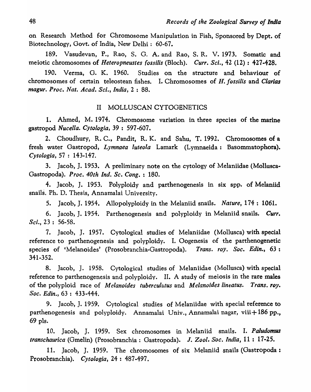48 *Records of the Zoological Survey of India* 

on Research Method for Chromosome Manipulation in Fish, Sponsored by Dept. of Biotechnology, Govt. of India, New Delhi: 60-67.

189. Vasudevan, P., Rao, S. G. A. and Rao, S. R. V. 1973. Somatic and meiotic chromosomes of *Heteropneustes fossilis* (Bloch). *Curr. Sci.*, 42 (12): 427-428.

190. Verma, O. K. 1960. Studies on the structure and behaviour of chromosomes of certain teleostean fishes. I. Chromosomes of *H. fassilis* and *Clarias magur. Proc. Nat. Acad. Sci., India,* 2 : 88.

### II MOLLUSCAN CYTOGENETICS

1. Ahmed, M. 1974. Chromosome variation in three species of the marine gastropod *Nucella. Cytologia,* 39 : 597 -607 •

2. Choudhury, R. C., Pandit, R. K. and Sahu, T. 1992. Chromosomes of a fresh water Gastropod, *Lymnaea luteola* Lamark (Lymnaeida: Basommatophora). *Cytologia,* 57 : 143-147.

3. Jacob, J. 1953. A preliminary note on the cytology of Melaniidae (Mollusca-Gastropoda). Proc. 40th Ind. Sc. Cong. : 180.

4. Jacob, J. 1953. Polyploidy and parthenogenesis in six spp. of Melaniid snails. Ph. D. Thesis, Annamalai University.

5. Jacob, J. 1954. Allopolyploidy in the Melaniid snails. *Nature,* 174 : 1061.

6. Jacob, J. 1954. Parthenogenesis and polyploidy in Melaniid snails. Curr. *Sci.,* 23: 56-58.

7. Jacob, J. 1957. Cytological studies of Melaniidae (Mollusca) with special reference to parthenogenesis and polyploidy. I. Oogenesis of the parthenogenetic species of 'Melanoides' (Prosobranchia-Gastropoda). *Trans. roy. Soc. Edin.,* 63: 341-352.

8. Jacob, J. 1958. Cytological studies of Melaniidae (Mollusca) with special reference to parthenogenesis and polyploidy. II. A study of meiosis in the rare males of the polyploid race of *Melanoides tuberculatus* and *Melanoides lineatus. Trans. roy. Soc.* Edin., 63 : 433-444.

9. Jacob, J. 1959. Cytological studies of Melaniidae with special reference to parthenogenesis and polyploidy. Annamalai Univ., Annamalai nagar, viii+186 pp., 69 pIs.

10. Jacob, J. 1959. Sex chromosomes in Melaniid snails. I. *Paludomus transchaurica* (Gmelin) (Prosobranchia: Gastropoda). J. *Zool. Soc. India,* 11 : 17-25.

11. Jacob, J. 1959. The chromosomes of six Melaniid snails (Gastropoda; Prosobranchia). *Cytologia,* 24 : 487-497.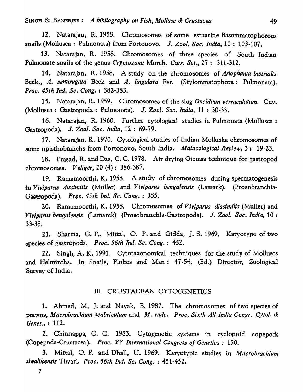12. Natarajan, R. 1958. Chromosomes of some estuarine Basommatophorous snails (Mollusca: Pulmonata) from Portonovo. J. *Zool. Soc. India,* 10: 103-107.

13. Natarajan, R. 1958. Chromosomes of three species of South Indian Pulmonate snails of the genus *Cryptozona* Morch. *Curr. Sci.,* 27; 311-312.

14. Natarajan, R. 1958. A study on the chromosomes of *Ariophanta bistrialis*  Beck., *A. semirugata* Beck and *A. lingulata* Fer. (Stylommatophora: Pulmonata). *Proc. 45th Ind. Sc. Cong.* : 382-383.

15. Natarajan, R. 1959. Chromosomes of the slug *Oncidium verraculatum.* Cuv. (Mollusca: Gastropoda: Pulmonata). J. *Zool. Soc. India,* 11 : 30-33.

16. Natarajan, R. 1960. Further cytological studies in Pulmonata (Mollusca: Gastropoda). J. *Zool. Soc. India,* 12 : 69-79.

17. Natarajan, R. 1970. Cytological studies of Indian Molluska chromosomes of some opisthobranchs from Portonovo, South India. *Malacological Review,* 3: 19-23.

18. Prasad, R. and Das, C. C. 1978. Air drying Giemsa technique for gastropod chromosomes. *Veliger,* 20 (4) : 386-387.

19. Ramamoorthi, K. 1958. A study of chromosomes during spermatogenesis in *Viviparus dissimilis* (Muller) and *Viviparus bengalensis* (Lamark). (Prosobranchia-Gastropoda). *Proc. 45th Ind. Sc, Cong.* : 385.

20. Ramamoorthi, K. 1958. Chromosomes of *Viviparus dissimilis* (Muller) and *Viviparus bengalensis* (Lamarck) (Prosobranchia-Gastropoda). J. *Zool. Soc. India,* 10 ; 33-38.

21. Sharma, G. P., Mittal, O. P. and Gidda, J. S. 1969. Karyotype of two species of gastropods. *Proc. 56th Ind. Sc. Cong.* : 452.

22. Singh, A. K. 1991. Cytotaxonomical techniques for the study of Molluscs and Helminths. In Snails, Flukes and Man: 47-54. (Ed.) Director, Zoological Survey of India.

### III CRUSTACEAN CYTOGENETICS

1. Ahmed, M. J. and Nayak, B. 1987. The chromosomes of two species of prawns, *Macrobrachium scabriculum* and M. *rude. Proc. Sixth* All *India Congr. CYlol. & Genet.,* : 112.

2. Chin nappa, C. C. 1983. Cytogenetic systems in cyclopoid copepods (Copepoda-Crustacea). *Proe. XV International Congress of Genetics: 150.* 

3. Mittal, O. P. and Dhall, U. 1969. Karyotypic studies in *Macrobrachium siwalikensis* Tiwari. *Proc. 56th Ind. Se. Cong.* : 451-452.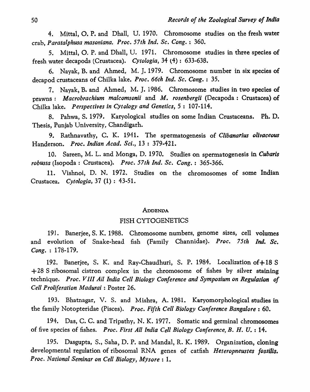4. Mittal, O. P. and Dhall, U. 1970. Chromosome studies on the fresh water crab, *Paratalphusa masoniana. Proc. 57th Ind. Sc. Cong.*: 360.

5. Mittal, O. P. and Dhall, U. 1971. Chromosome studies in three species of fresh water decapods (Crustacea). *Cytologia,* 34 (4): 633-638.

6. Nayak, B. and Ahmed, M. J. 1979. Chromosome number in six species of decapod crustaceans of Chilka lake. Proc. 66th Ind. Sc. Cong. : 35.

7. Nayak, B. and Ahmed, M. J. 1986. Chromosome studies in two species of prawns: *Macrobrachium malcomsonii* and *M. rosenbergii* (Decapoda: Crustacea) of Chilka lake. *Perspectives in Cytology and Genetics,* 5 : 107-114.

8. Pahwa, S. 1979. Karyological studies on some Indian Crustaceans. Ph. D. Thesis, Punjab University, Chandigarh.

9. Rathnavathy, C. K. 1941. The spermatogenesis of *Clibanarius olivaceous*  Handerson. *Proc. Indian Acad. Sci.,* 13 : 379-421.

10. Sareen, M. L. and Monga, D. 1970. Studies on spermatogenesis in *Cubaris robusta* (Isopoda : Crustacea). *Proc. 57th Ind. Sc. Cong.* : 365-366.

11. Vishnoi, D. N. 1972. Studies on the chromosomes of some Indian Crustacea. *Cytologia,* 37 (1) : 43-51.

#### ADDENDA

#### FISH CYTOGENETICS

191. Banerjee, S. K. 1988. Chromosome numbers, genome sizes, cell volumes and evolution of Snake-head fish (Family Channidae). *Proc. 75th Ind. Sc. Cong.*: 178-179.

192. Banerjee, S. K. and Ray-Chaudhuri, S. P. 1984. Localization of + 18 S + 28 S ribosomal cistron complex in the chromosome of fishes by silver staining technique. *Proc. V III Ail India Cell Biology Conference and Symposium on Regulation of Cell Proliferation Madurai* : Poster 26.

193. Bhatnagar, V. S. and Mishra, A. 1981. Karyomorphological studies in the family Notopteridae (Pisces). *Proc. Fifth Cell Biology Conference Bangalore* : 60.

194. Das, C. C. and Tripathy, N. K. 1977. Somatic and germinal chromosomes of five species of fishes. *Proc. First All India Cell Biology Conference, B. H. U.* : 14.

195. Dasgupta, S., Saha, D. P. and MandaI, R. K. 1989. Organization, cloning developmental regulation of ribosomal RNA genes of catfish *Heteropneustes fossilis. Proc. National Seminar on Cell Biology, Mysore* : 1.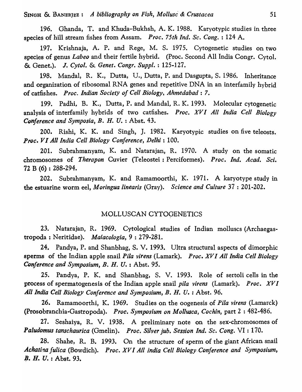196. Ghanda, T. and Khuda-Bukhsh, A. K. 1988. Karyotypic studies in three species of hill stream fishes from Assam. *Proc. 75th Ind. Sc. Cong.* : 124 A.

197. Krishnaja, A. P. and Rege, M. S. 1975. Cytogenetic studies on two species of genus *Labeo* and their fertile hybrid. (Proc. Second All India Congr. Cytol. & Genet.). J. *Cytol.* & *Genet. Congr. Supple* : 125-127.

198. Mandal, R. K., Dutta, U., Dutta, P. and Dasgupta, S. 1986. Inheritance and organization of ribosomal RNA genes and repetitive DNA in an interfamily hybrid of catfishes. *Proc. Indian Society of Cell Biology, Ahmedabad:* 7.

199. Padhi, B. K., Dutta, P. and MandaI, R. K. 1993. Molecular cytogenetic analysis of interfamily hybrids of two catfishes. *Proc. xv I All India Cell Biology Conference and Symposia, B. H. U.* : Abst. 43.

200. Rishi, K. K. and Singh, J. 1982. Karyotypic studies on five teleosts. *Proc. VI All India Cell Biology Conference, Delhi: 100.* 

201. Subrahmanyam, K. and Natarajan, R. 1970. A study on the somatic chromosomes of *Therapon* Cuvier (Teleostei: Perciformes). *Proc. Ind. A cad. Sci.*  72 B (6) : 288-294.

202. Subrahmanyam, K. and Ramamoorthi, K. 1971. A karyotype study in the estuarine worm eel, *Moringua linearis* (Gray). *Science and Culture* 37 : 201-202.

### MOLLUSCAN CYTOGENETICS

23. Natarajan, R. 1969. Cytological studies of Indian molluscs (Archaegastropoda ; Neritidae). *Ma/acologia,* 9 : 279-281.

24. Pandya, P. and Shanbhag, S. V. 1993. Ultra structural aspects of dimorphic sperms of the Indian apple snail *Pi/a virens* (Lamark). *Proc. xv I All India Cell Biology Conference and Symposium, B. H. U.* : Abst. 95.

25. Pandya, P. K. and Shanbhag, S. V. 1993. Role of sertoli cells in the process of spermatogenesis of the Indian apple snail *pi/a virens* (Lamark). *Proc. XV I*  All India Cell Biology Conference and Symposium, B. H. U. : Abst. 96.

26. Ramamoorthi, K. 1969. Studies on the oogenesis of *Pi/a virens* (Lamarck) (Prosobranchia-Gastropoda). *Proc. Symposium on Mollusca, Cochin*, part 2: 482-486.

27. Seshaiya, R. V. 1938. A preliminary note on the sex-chromosomes of *Paludomus tanschaurica* (Gmelin). *Proc. Silver jub. Session Ind. Sc. Cong.* VI : 170.

28. Shahe, R. B. 1993. On the structure of sperm of the giant African snail Achatina fulica *(Bowdich). Proc. XVI All India Cell Biology Conference and Symposium, B. H. U.* : Abst. 93.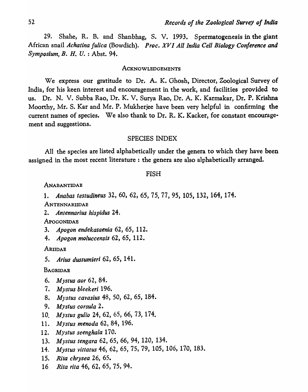29. Shahe, R. B. and Shanbhag, S. V. 1993. Spermatogenesis in the giant African snail *Achatina fulica* (Bowdich). *Proc. XV I All India Cell Biology Conference and Symposium, B. H. U.* : Abst. 94.

#### ACKNOWLEDGEMENTS

We express our gratitude to Dr. A. K. Ghosh, Director, Zoological Survey of India, for his keen interest and encouragement in the work, and facilities provided to us. Dr. N. V. Subba Rao, Dr. K. V. Surya Rao, Dr. A. K. Karmakar, Dr. P. Krishna Moorthy, Mr. S. Kar and Mr. P. Mukherjee have been very helpful in confirming the current names of species. We also thank to Dr. R. K. Kacker, for constant encouragement and suggestions.

#### SPECIES INDEX

All the species are listed alphabetically under the genera to which they have been assigned in the most recent literature: the genera are also alphabetically arranged.

#### FISH

#### ANABANTlDAB

*1. Anabas testudineus* 32, 60, 62, 65, 75, 77, 95, 105, 132, 164, 174.

**ANTENNARIIDAE** 

*2. Antennarius hispidus 24.* 

**APOGONIDAE** 

*3. Apogon endekataenia* 62, 65, 112.

*4. Apogon moluccensis* 62, 65, 112.

ARIIDAE

*5. Arius dussumieri* 62, 65, 141.

#### BAGRIOAB

- *6. Mystus aor* 62, 84.
- *7. Mystus bleekeri 196.*
- *8. Mystus cavasius* 48, 50, 62, 65, 184.
- *9. Mystus corsula 2.*
- *10. Mystus gulio* 24, 62, 65, 66, 73, 174.
- *11. Mystus menoda* 62, 84, 196.
- *12. Mystus seenghala 170.*
- *13. Mystus tengara* 62, 65, 66, 94, 120, 134.
- *14. Mystus vittatus* 46, 62, 65, 75, 79, 105, 106, 170, 183.
- *15. Rita chrysea* 26, 65.
- *16. Rita rita* 46, 62, 65,75,94.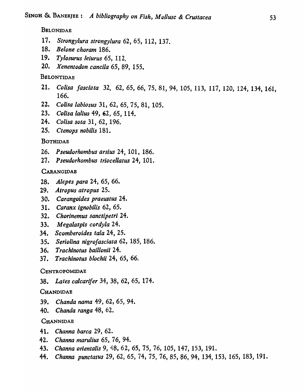#### BELONIDAE

- *17. Strongy/ura strongylura* 62, 65, 112, 137.
- *18. Be/one choram 186.*
- 19. *Tylosurus leiurus* 65, 112.
- *20. Xenentodon cancila* 65, 89, 155.

#### BELONTIDAE

- *21. Colisa fasciata* 32, *62,65,66,751* 81,94,105,113, 117,120, 124,134,161, 166.
- *22. Colisa labiosus* 31, 62, 65, 75, 81, 105.
- *23. Colisa lalius* 49, *02* <sup>1</sup>65, 114.
- *24. Colisa sota* 31, 62, 196.
- *25. Ctenops nobilis* 181.

#### BOTHIDAB

- 26. *Pseudo rhombus arsius* 24, 101, 186.
- *27. Pseudorhombus triocellatus* 24, 101.

### CARANGIDAE

- *28. Alepes para* 24, 65, 66.
- *29. Atropus atropus 25.*
- *30. Carangoides praeustus* 24.
- *31. Caranx ignobilis* 62, 65.
- *32. Chorinemus sanctipetri 24.*
- *33. Megalaspis cordyla 24.*
- *34. Scomberoides tala* 24, 25.
- *35. Seriolina nigrofasciata* 62, 185, 186.
- *36. Trachinotus baillonii* 24.
- *37. Trachinotus blochii* 24, 65, 66.

#### CENTROPOMIDAE

*38. Lates calcarifer* 34, 38, 62, 65, 174.

#### **CHANDIDAE**

- 39. Chanda nama 49, 62, 65, 94.
- *40. Chanda ranga* 48, 62.

#### **CHANNIDAE**

- *41. Channa barca* 29, 62.
- *42. Channa marulius* 65, 76, 94.
- *43. Channa orientalis* 9, 48, 62, 65, 75, 76, 105, 147, 153, 191.
- *44. Channa punctatus* 29, 62, 65, 74, 75, 76,85, 86, 94, 134, 153, 165, 183, 191.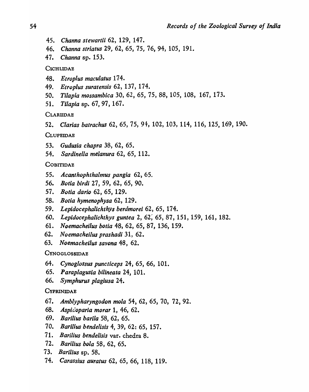- *45. Channa stewartii* 62, 129, 147.
- *46. Channa striatus* 29, 62, 65, 75, 76, 94, 105, 191.
- *47. Channa* sp. 153.

**CICHLIDAE** 

- *48. Etroplus maculatus 174.*
- 49. *Etroplus suratensis* 62, 137, 174.
- *50. Tilapia mossambica* 30, 62, 65, 75, 88, 105, 108, 167, 173.
- *51. Tilapia* sp. 67, 97, 167.

CLARIIDAE

*52. Clarias batrachus* 62,65,75, 94, 102, 103, 114, 116, 125,169, 190.

**CLUPEIDAE** 

- *53. Gudusia chapra* 38, 62, 65.
- *54. Sardinella melanura* 62, 65, 112.

### **COBITIDAE**

- *55. Acanthophthalmus pangia* 62, 65.
- *56. Bolia birdi* 27, 59, 62, 65, 90.
- *57. Bolia dario* 62, 65, 129.
- *58. Bolia hymenophysa* 62, 129.
- *59. Lepidocephalichthys berdmorei* 62, 65, 174.
- *60. Lepidocephalichlhys guntea* 2, 62; 65, 87, 151, 159, 161, 182.
- *61. Noemacheilus hotia* 48, 62, 65, 87, 136, 159.
- *62. Noemacheilus prashadi* 31, 62.
- *63. Noemacheilus savona* 48, 62.

### **CYNOGLOSSIDAE**

- *64. Cynoglossus puncticeps* 24, 65, 66, 101.
- *65. Paraplagusia hilineata* 24, 101.
- *66. Symphurus plagiusa* 24.

### **CYPRINIDAE**

- *67. Amblypharyngodon mola* 54, 62, 65, 70, 72, 92.
- *68. Aspic.'oparia morar* 1, 46, 62.
- *69. Bari/ius barila* 58, 62, 65.
- *70. Bari/ius bendelisis* 4, 39, 62: 65, 157.
- *71. Barilius bendelisis* var. chedra 8.
- *72. Barilius bola* 58, 62, 65.
- *73. Barilius* sp. 58.
- *74. Carassius auratus* 62, 65, 66, 118, 119.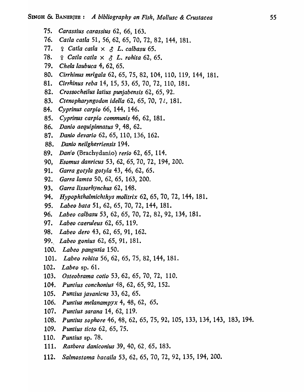- *75. Carassius carassius* 62, 66, 163.
- *76. Catla catla* 51, 56, 62,65, 70, 72, 82, 144, 181.
- $77.$   $9$  *Catla catla*  $\times$   $3$  *L. calbasu* 65.
- 78. ~ *Catla calla* X 0 *L. rohita* 62, 65.
- *79. Chela laubuca* 4, 62, 65.
- 80. Cirrhinus mrigala 62, 65, 75, 82, 104, 110, 119, 144, 181.
- *81. Cirrhinus reba* 14, 15, 53, 65, 70, 72, 110, 181.
- *82. Crossoeheilus latius punjabensis* 62, 65, 92.
- *83. Ctenopharyngodon idella* 62, 65, 70, *7l, 181.*
- *84. Cyprinus carpio* 66, 144, 146.
- *85. Cyprin,us carpio communis* 46, 62, 181.
- *86. Danio aequipinnatus* 9, 48, 62.
- *87. Danio devario* 62, 65, 110, 136, 162.
- *88. Danio neilgherriensis* 194.
- *89. Danfo* (Brachydanio) *rerio* 62, 65, 114.
- *90, Esomus danrieus* 53, 62, 65, 70, 72, 194, 200.
- *91. Garro gotyla gotyla* 43, 46, 62, 65.
- *92. Garra lamta* 50, 62, 65, 163, 200.
- *93. Garra lissorhynehus* 62, 148.
- *94. Hypophthalmichthys molitrix* 62, 65, 70, 72, 144, 181.
- *95. Labeo bata* 51, 62, 65, 70, 72, 144, 181.
- *96. Labeo ealbasu* 53, 62, 65, 70, 72, 82, 92, 134, 181.
- *97. Labeo caeruleus* 62, 65, 119.
- *9B. Labeo dero* 43, 62, 65, 91, 162.
- *99. Labeo gonius* 62, 65, 91, 181.
- *100. Labeo pangusia 150.*
- *101. Labeo rohita* 56, 62, 65, 75, 82, 144, 181.
- *102. Labeo* sp. 61.
- *103. Osteobrama eotio* 53, 62, 65, 70, 72, 110.
- *104. Puntius conchonius* 48, 62, 65, 92, 152.
- *105. Puntius javanieus* 33, 62, 65.
- *106. Puntius melanampyx* 4, 48, 62, 65.
- *107. Puntius sarana* 14, 62, 119.
- *108. Puntius sophore* 46,48,62,65,75,92,105,133,134,143, 183,194.
- *109. Puntius tic to* 62, 65, 75.
- *110. Puntius* sp. 78.
- **111.** Rasbora daniconius 39, 40, 62, 65, 183.
- *112. Salmostoma bacaila* 53, 62, 65, 70, 72, 92, 135, 194, 200.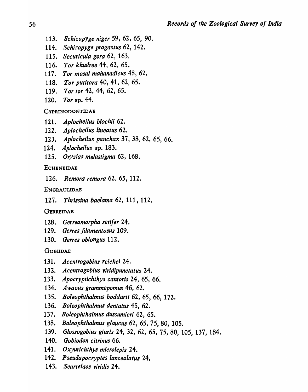- *113. Schizopyge niger* 59, 62, 65, 90.
- *114. Schizopyge progastus* 62, 142.
- *115. Securicula gora* 62, 163.
- *116. Tor khudree* 44, 62, 65.
- *117. Tor mosal mahanadicus* 48, 62.
- *118. Tor putitora* 40, 41, 62, 65.
- *119. Tor tor* 42, 44, 62, 65.
- *120. Tor* sp. 44.

CYPRINODONTIDAE

- *121. Aplocheilus bloch;; 62.*
- *122. Aplocheilus lineatus 62.*
- *123. Aplocheilus panchax* 37, 38, 62, 65, 66.
- *124. Aplocheilus* sp. 183.
- *125. Oryzias melastigma* 62, 168.

#### **ECHENEIDAE**

*126. Remora remora* 62, 65, 112.

#### ENGRAULlDAB

*127. Thrissina baelama* 62, 111, 112.

#### **GERREIDAE**

- *128. Gerreomorpha setifer 24.*
- *129. Gerres filamentosus 109.*
- 130. Gerres oblongus 112.

#### GOBIIDAB

- *131. Acentrogobius reichei 24.*
- *132. Acentrogobius viridipunctatus 24.*
- *133. Apocryptichthys cantoris* 24, 65, 66.
- *134. Awaous grammepomus* 46, 62.
- *135. Boleophthalmus boddarti* 62, 65, 66, 172.
- *136. Boleophthalmus dentatus* 45, 62.
- *137. Boleophthalmus dussumieri* 62, 65.
- *138. Boleophthalmus glaucus* 62, 65, 75, 80, 105.
- *139. Glossogobius giuris* 24, 32, 62, 65, 75, 80, 105, 137, 184.
- *140. Gobiodon citrinus 66.*
- *141. Oxyurichthys microlepis 24.*
- *142. Pseudapocryptes lanceolatus 24.*
- *143, Scartelaos viridis* 24.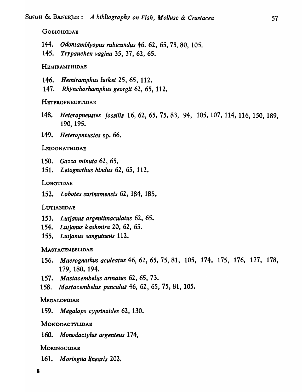#### **GOBIOIDIDAE**

- *144. Odontamblyopus rubicundus* 46. 62, 65, 75, 80, 105.
- *145. Trypauchen vagina* 35, 37, 62, 65.

#### HEMIRAMPHIDAE

- *146. Hemiramphus lutkei* 25, 65, 112.
- *147. Rhynchorhamphus georgii* 62, 65, 112.

### HETEROPNEUSTIDAE

- *148. Heteropneustes rossilis* 16,62,65,75,83, 94, 105,107,114, 116, 150, 189, 190, 195.
- *149. Heteropneusles* sp. 66.

#### LEIOGNATHIDAE

- *150. Gazza minuta* 62, 65.
- *151. Leiognathus bindus* 62, 65, 112.

#### LOBOTIDAE

*152. Lobotes surinamensis* 62, 184, 185.

#### LUTJANIDAE

- *153. Lutjanus argentimaculatus* 62, 65.
- *154. Lutjanus kashmira* 20, 62, 65.
- 155. Lutjanus sanguineus 112.

#### MASTACEMBELIDAE

- *156. Macrognathus aculeatus* 46, 62, 65, 75, 81, 105, 174, 175, 176, 177, 178, 179, 180, 194.
- *157. Mastacembelus armatus* 62, 65, 73.
- *158. Mastacembelus pancalus* 46, 62, 65, 75, 81, 105.

#### **MEGALOPIDAE**

*159. Megalops cyprinoides* 62, 130.

#### MONODACTYLIDAE

*160. Monodactylus argenteus 174,* 

### **MORINGUIDAE**

*161. Moringua linearis 202.*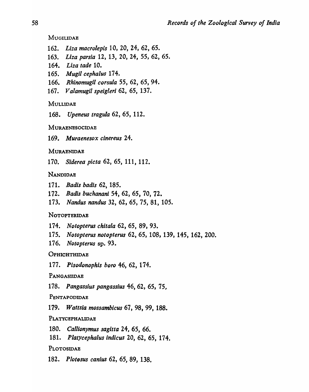MUGILIDAE

- *162. Liza macrolepis* 10, 20, 24, 62, 65.
- *163. Liza parsia* 12, 13, 20, 24, 55, 62, 65.
- *164. Liza tade 10.*
- *165. M ugil cepha/us* 174.
- *166. Rhinomugil corsula* 55, 62, 65, 94.
- *167. Valamugil speigleri* 62, 65, 1'37.

MULLIDAE

*168. Upeneus tragula* 62, 65, 112.

**MURAENESOCIDAE** 

*169. Muraenesox cinereus 24.* 

**MURAENIDAE** 

*170. Siderea pieta* 62, 65, 111, 112.

## **NANDIOAE**

- *171. Badis badis* 62, 185.
- *172. Badis buchanani* 54, 62, 65, 70, 72.
- *173. Nandus nandus* 32, 62, 65, 75, 81, 105.

### NOTOPTERIDAE

- *174. Notopterus chitala* 62, 65, 89, 93.
- *175. Notopterus notopterus* 62, 65, 108, 139, 145, 162, 200.
- *176. Notopterus* sp. 93.

**OPHICHTHIDAE** 

*177. Pisodonophis boro* 46, 62, 174.

PANGASIIDAE

*178. Pangassius pangassius* 46, 62, 65, 75,

PENTAPODIDAE

*179. Wattsia mossambicus* 67, 98, 99, 188.

### PLATYCEPHALlDAE

*180. Callionymus sagitta* 24, 65, 66.

*181. Platycephalus indicus* 20, 62, 65, 174.

### PLOTOSIDAE

*182. PlotDsus canius* 62, 65, 89, 138.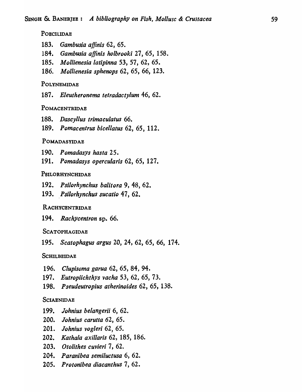POECILIDAE

- *183. Gambusia affinis* 62, 65.
- *184. Gambusia affinis holbrooki* 27, 65, 158.
- *185. M ollienesia latipinna* 53, 57, 62, 65.
- 186. *Mollienesia sphenops* 62, 65, 66, 123.

### POLYNEMIDAE

*187. Eleutheronema tetradactylum* 46, 62.

#### POMACENTRIDAE

- 188. *Dascyllus trimaculatus* 66.
- *189. Pomacentrus bicellatus* 62, 65, 112.

### POMADASYIDAE

- *190. Pomadasys hasta 25.*
- *191. Pomadasys opercularis* 62, 65, 127.

#### PSILORHYNCHIDAE

- *192. Psilorhynchus balitora* 9, 48, 62.
- 193. Psilorhynchus sucatio 47, 62.

#### RACHYCENTRIDAE

*194. Rachycentron* sp. 66.

#### SCATOPHAGIDAE

*195. Scatophagus argus* 20, 24, 62, 65, 66, 174.

#### **SCHILBEIDAE**

- 196. *Clupisoma garua* 62, 65, 84, 94.
- *197. Eutropiichthys vacha* 53, 62, 65, 73.
- 198. *Pseudeutropius atherinoides* 62, 65, 138.

#### **SCIAENIDAE**

- *199. Johnius belangerii* 6, 62.
- *200. lohnius carutta* 62, 65.
- *201. lohnius vogleri* 62, 65.
- *202. Kathala axillaris* 62, 185, 186.
- *203. Otolithes cuvieri* 7, 62.
- *204. Paranibea semiluctusa* 6, 62.
- *205. Protonibea diacanthus* 7, 62.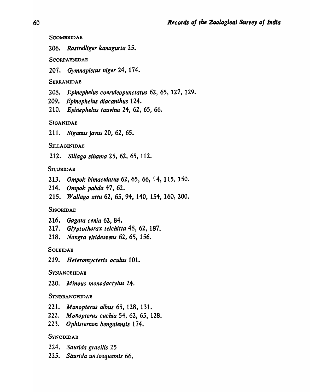**SCOMBRIDAE** 

*206. Rastrelliger kanagurta 25.* 

**SCORPAENIDAE** 

207 • *Gymnapistus niger* 24, 174.

**SERRANIDAE** 

- *208. Epinephelus coeruleopunctatus* 62, 65, 127, 129.
- *209. Epinephelus diacanthus 124.*
- *210. Epinephelus tauvina* 24, 62, 65, 66.

**SIGANIDAE** 

*211. Siganus javus* 20, 62, 65.

SILLAGINIDAB

212. *Sill ago sihama* 25, 62, 65, 112.

### SILURIDAE

- *213. Ompok bimaculatus* 62, 65, 66, ~ 4, 115, 150.
- *214. Ompok pabda* 47, 62.
- *215. Wallago attu* 62, 65, 94, 140, 154, 160, 200.

### **SISORIDAE**

- *216. Gagata cenia* 62, 84.
- *217. Glyptothorax telchitta* 48, 62, 187.
- *218. Nangra viridescens* 62, 65, 156.

### **SOLEIDAE**

*219. Heteromycteris oculus 101.* 

### **SYNANCEIIDAE**

*220. Minous monodactylus 24.* 

### **SYNBRANCHIDAE**

- *221. Monopterus albus* 65, 128, 131.
- *222. Monopterus cuchia* 54, 62, 65, 128.
- *223. Ophisternon bengalensis 174.*

### **SYNODIDAE**

- *224. Saurida gracilis 25*
- *225. Saurida uniosquamis 66.*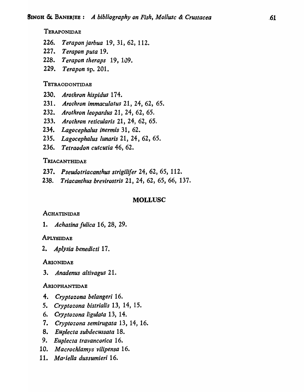### **TERAPONIDAE**

- *226. Terapon jarbua* 19, 31, 62, 112.
- *227. Terapon pula 19.*
- *228. Terapon theraps* 19, 109.
- *229. Terapon* sp. 201.

#### TETRAODONTIDAE

- *230. Arothron hispidus 174.*
- *231. Arothron immaculatus* 21, 24,62, 65.
- *232. Arothron leopardus* 21, 24, 62, 65.
- *233. Arothron reticularis* 21, 24, 62, 65.
- *234. Lagocephalus inermis* 31, 62.
- *235. Lagocephalus lunaris* 21, 24, 62, 65.
- 236. Tetraodon cutcutia **46**, 62.

### TRIACANTHIDAE

- *237. Pseudotfiacanthus strigili/er* 24, 62, 65, 112.
- *238. Triacanthus brevirostris* 21, 24, 62, 65, 66, 137.

#### MOLLUSC

#### **ACHATINIDAE**

*1. Achatina fulica* 16, 28, 29.

#### **APLYSIIDAE**

*2. Aplysia benedicti* 17.

#### ARIONIDAE

*3. Anadenus altivagus 21.* 

#### ARIOPHANTIDAE

- *4. Cryptozona belangeri 16.*
- *5. Cryptozona histrialis* 13, 14, 15.
- *6. Cryptozona ligulata* 13, 14.
- *7. Cryptozona semirugata* 13, 14, 16.
- *8. Euplecta subdecussata 18.*
- *9. Euplecta travancorica 16.*
- *10. Macrochlamys'vilipensa 16.*
- *11. M a' iella dussumieri 16.*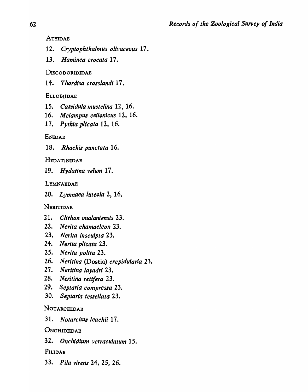ATYIDAE

- *12. Cryptophthalmus olivaceous* 17.
- *13. Haminea crocata* 17.

## DISCODORIDIDAB

14. *Thordisa crosslandi* 17.

## **ELLOBIIDAE**

- *15. Cassidula mustelina* 12, 16.
- *16. Melampus ceilonicus* 12, 16.
- *17. Pythia plicata* 12, 16.

## ENIDAE

*18. Rhachis punctata 16.* 

## **HYDATINIDAE**

*19. Hydatina velum* 17.

## LYMNAEDAE

*20. Lymnaea luteola* 2, 16.

## NERITIDAB

- *21. Clithon oualaniensis 23.*
- 22. Nerita chamaeleon 23.
- *23. Nerita inscuJpta 23.*
- *24. N erita plicata* 23.
- *25. Nerita polita 23.*
- *26. Neritina* (Dostia) *crepidularia 2.3.*
- *27. Neritina layadri 23.*
- *28. Neritina retifera 23.*
- *29. Septaria compressa 23.*
- *30. Septaria tessellata 23.*

## NOTARCHIDAB

*31. Notarchus leachii 17.* 

## **ONCHIDIDAE**

*32. Onchidium verraculatum 15.* 

## PILIDAE

*33. Pila virens* 24, 25, 26.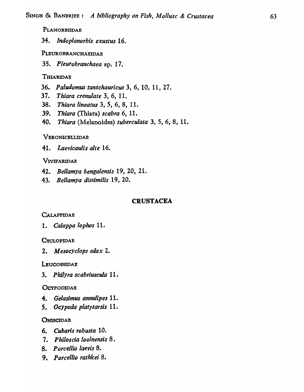PLANORBIIDAE

*34. lndoplanorbis exustus 16.* 

PLEUROBRANCHAEIDAE

*35. Pleurobranchaea* sp. 17.

## THIARIDAB

- *36. Paludomus tanschauricus* 3, 6, 10, 11, 27.
- *37. Thiara crenulate* 3, 6, 11.
- *38. Thiara lineatus* 3, 5, 6, 8, 11.
- *39. Thiara* (Thiara) *scabra* 6, 11.
- *40. Thiara* (Melanoides) *tuberculata* 3, 5, 6, 8, 11.

## VERONICBLLIDAE

*41. Laevicaulis alte 16.* 

## VIVIPARIDAE

- *42. Bellamya bengalensis* 19, 20, 21.
- *43. Bellamya dissimilis* 19, 20.

## **CRUSTACEA**

## CALAPPIDAE

*1. Calappa lophos 11.* 

## **CYCLOPIDAE**

*2. M esocyclops edax 2.* 

LEUCOSSIDAE

*3. P hilyra scabriuscula 11.* 

## **OCYPODIDAE**

- *4. Gelasimus annulipes 11.*
- *S. Ocypoda platytarsis 11.*

## **ONISCIDAE**

- *6. Cubaris robusta 10.*
- *7. P hi/os cia loolnensis* 8.
- *8. P orcellio laevis 8.*
- *9. Porcellio rathkei 8.*